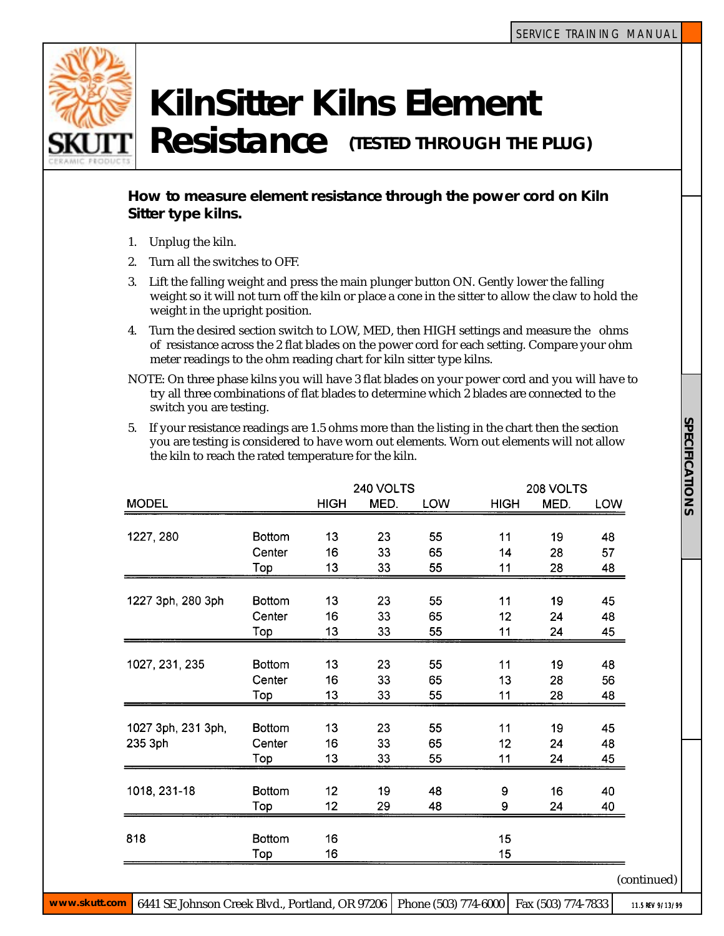

## **KilnSitter Kilns Element**

Resistance (TESTED THROUGH THE PLUG)

## **How to measure element resistance through the power cord on Kiln Sitter type kilns.**

- 1. Unplug the kiln.
- 2. Turn all the switches to OFF.
- 3. Lift the falling weight and press the main plunger button ON. Gently lower the falling weight so it will not turn off the kiln or place a cone in the sitter to allow the claw to hold the weight in the upright position.
- 4. Turn the desired section switch to LOW, MED, then HIGH settings and measure the ohms of resistance across the 2 flat blades on the power cord for each setting. Compare your ohm meter readings to the ohm reading chart for kiln sitter type kilns.
- NOTE: On three phase kilns you will have 3 flat blades on your power cord and you will have to try all three combinations of flat blades to determine which 2 blades are connected to the switch you are testing.
- 5. If your resistance readings are 1.5 ohms more than the listing in the chart then the section you are testing is considered to have worn out elements. Worn out elements will not allow the kiln to reach the rated temperature for the kiln.

|                    |               | 240 VOLTS   |      |            | 208 VOLTS   |      |             |
|--------------------|---------------|-------------|------|------------|-------------|------|-------------|
| <b>MODEL</b>       |               | <b>HIGH</b> | MED. | <b>LOW</b> | <b>HIGH</b> | MED. | LOW         |
|                    |               |             |      |            |             |      |             |
| 1227, 280          | <b>Bottom</b> | 13          | 23   | 55         | 11          | 19   | 48          |
|                    | Center        | 16          | 33   | 65         | 14          | 28   | 57          |
|                    | Top           | 13          | 33   | 55         | 11          | 28   | 48          |
|                    |               |             |      |            |             |      |             |
| 1227 3ph, 280 3ph  | <b>Bottom</b> | 13          | 23   | 55         | 11          | 19   | 45          |
|                    | Center        | 16          | 33   | 65         | 12          | 24   | 48          |
|                    | Top           | 13          | 33   | 55         | 11          | 24   | 45          |
| 1027, 231, 235     | <b>Bottom</b> | 13          | 23   | 55         | 11          | 19   | 48          |
|                    | Center        | 16          | 33   | 65         | 13          | 28   | 56          |
|                    | Top           | 13          | 33   | 55         | 11          | 28   | 48          |
|                    |               |             |      |            |             |      |             |
| 1027 3ph, 231 3ph, | <b>Bottom</b> | 13          | 23   | 55         | 11          | 19   | 45          |
| 235 3ph            | Center        | 16          | 33   | 65         | 12          | 24   | 48          |
|                    | Top           | 13          | 33   | 55         | 11          | 24   | 45          |
|                    |               |             |      |            |             |      |             |
| 1018, 231-18       | <b>Bottom</b> | 12          | 19   | 48         | 9           | 16   | 40          |
|                    | Top           | 12          | 29   | 48         | 9           | 24   | 40          |
| 818                | <b>Bottom</b> | 16          |      |            | 15          |      |             |
|                    | Top           | 16          |      |            | 15          |      |             |
|                    |               |             |      |            |             |      | (continued) |
|                    |               |             |      |            |             |      |             |

**www.skutt.com** 6441 SE Johnson Creek Blvd., Portland, OR 97206 Phone (503) 774-6000 Fax (503) 774-7833

11.5 REV 9/13/99